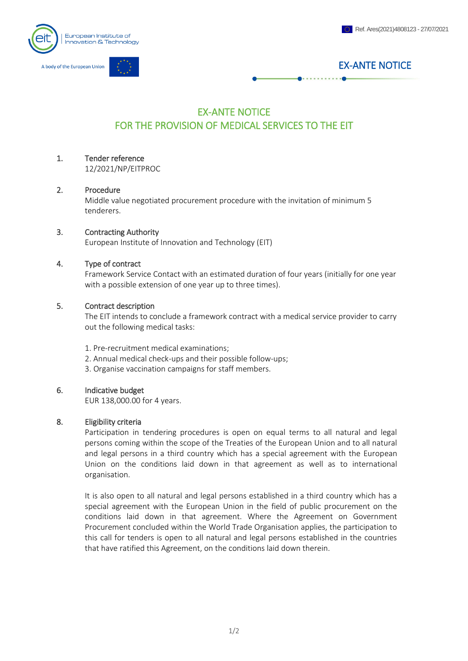

# EX-ANTE NOTICE

# EX-ANTE NOTICE FOR THE PROVISION OF MEDICAL SERVICES TO THE EIT

# 1. Tender reference

12/2021/NP/EITPROC

#### 2. Procedure

Middle value negotiated procurement procedure with the invitation of minimum 5 tenderers.

#### 3. Contracting Authority

European Institute of Innovation and Technology (EIT)

#### 4. Type of contract

Framework Service Contact with an estimated duration of four years (initially for one year with a possible extension of one year up to three times).

### 5. Contract description

The EIT intends to conclude a framework contract with a medical service provider to carry out the following medical tasks:

- 1. Pre-recruitment medical examinations;
- 2. Annual medical check-ups and their possible follow-ups;
- 3. Organise vaccination campaigns for staff members.

# 6. Indicative budget

EUR 138,000.00 for 4 years.

# 8. Eligibility criteria

Participation in tendering procedures is open on equal terms to all natural and legal persons coming within the scope of the Treaties of the European Union and to all natural and legal persons in a third country which has a special agreement with the European Union on the conditions laid down in that agreement as well as to international organisation.

It is also open to all natural and legal persons established in a third country which has a special agreement with the European Union in the field of public procurement on the conditions laid down in that agreement. Where the Agreement on Government Procurement concluded within the World Trade Organisation applies, the participation to this call for tenders is open to all natural and legal persons established in the countries that have ratified this Agreement, on the conditions laid down therein.